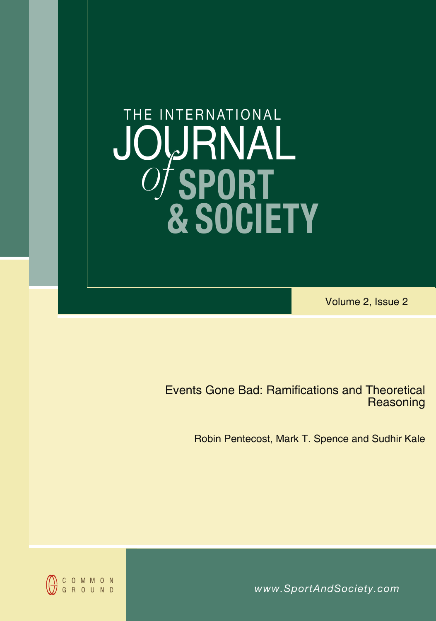# **SPORT & SOCIETY** JOURNAL THE INTERNATIONAL *of*

Volume 2, Issue 2

Events Gone Bad: Ramifications and Theoretical **Reasoning** 

Robin Pentecost, Mark T. Spence and Sudhir Kale

*www.SportAndSociety.com www.SportAndSociety.com*

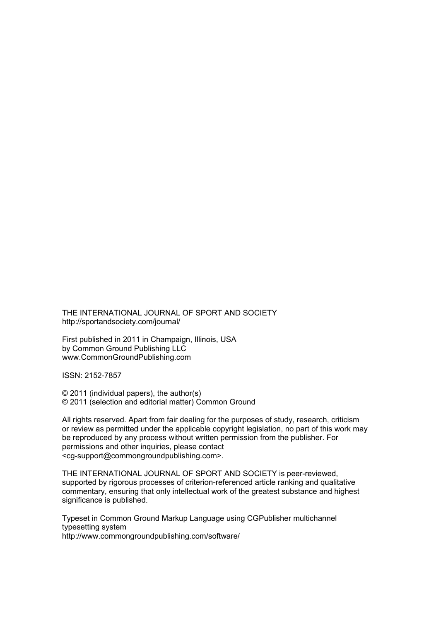THE INTERNATIONAL JOURNAL OF SPORT AND SOCIETY http://sportandsociety.com/journal/

First published in 2011 in Champaign, Illinois, USA by Common Ground Publishing LLC www.CommonGroundPublishing.com

ISSN: 2152-7857

© 2011 (individual papers), the author(s) © 2011 (selection and editorial matter) Common Ground

All rights reserved. Apart from fair dealing for the purposes of study, research, criticism or review as permitted under the applicable copyright legislation, no part of this work may be reproduced by any process without written permission from the publisher. For permissions and other inquiries, please contact <cg-support@commongroundpublishing.com>.

THE INTERNATIONAL JOURNAL OF SPORT AND SOCIETY is peer-reviewed, supported by rigorous processes of criterion-referenced article ranking and qualitative commentary, ensuring that only intellectual work of the greatest substance and highest significance is published.

Typeset in Common Ground Markup Language using CGPublisher multichannel typesetting system http://www.commongroundpublishing.com/software/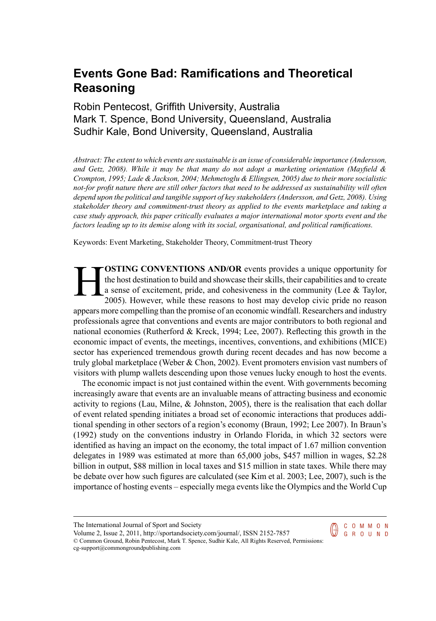# **Events Gone Bad: Ramifications and Theoretical Reasoning**

## Robin Pentecost, Griffith University, Australia Mark T. Spence, Bond University, Queensland, Australia Sudhir Kale, Bond University, Queensland, Australia

*Abstract: The extent to which events are sustainable is an issue of considerable importance (Andersson, and Getz, 2008). While it may be that many do not adopt a marketing orientation (Mayfield & Crompton, 1995; Lade & Jackson, 2004; Mehmetoglu & Ellingsen, 2005) due to their more socialistic* not-for profit nature there are still other factors that need to be addressed as sustainability will often *depend upon the political and tangible support of key stakeholders (Andersson, and Getz, 2008). Using stakeholder theory and commitment-trust theory as applied to the events marketplace and taking a case study approach, this paper critically evaluates a major international motor sports event and the factors leading up to its demise along with its social, organisational, and political ramifications.*

Keywords: Event Marketing, Stakeholder Theory, Commitment-trust Theory

H **OSTING CONVENTIONS AND/OR** events provides a unique opportunity for the host destination to build and showcase their skills, their capabilities and to create a sense of excitement, pride, and cohesiveness in the community (Lee & Taylor, 2005). However, while these reasons to host may develop civic pride no reason appears more compelling than the promise of an economic windfall. Researchers and industry professionals agree that conventions and events are major contributors to both regional and national economies (Rutherford & Kreck, 1994; Lee, 2007). Reflecting this growth in the economic impact of events, the meetings, incentives, conventions, and exhibitions (MICE) sector has experienced tremendous growth during recent decades and has now become a truly global marketplace (Weber & Chon, 2002). Event promoters envision vast numbers of visitors with plump wallets descending upon those venues lucky enough to host the events.

The economic impact is not just contained within the event. With governments becoming increasingly aware that events are an invaluable means of attracting business and economic activity to regions (Lau, Milne,  $\&$  Johnston, 2005), there is the realisation that each dollar of event related spending initiates a broad set of economic interactions that produces additional spending in other sectors of a region's economy (Braun, 1992; Lee 2007). In Braun's (1992) study on the conventions industry in Orlando Florida, in which 32 sectors were identified as having an impact on the economy, the total impact of 1.67 million convention delegates in 1989 was estimated at more than 65,000 jobs, \$457 million in wages, \$2.28 billion in output, \$88 million in local taxes and \$15 million in state taxes. While there may be debate over how such figures are calculated (see Kim et al. 2003; Lee, 2007), such is the importance of hosting events – especially mega events like the Olympics and the World Cup

> C O M M O N **GROUND**

Volume 2, Issue 2, 2011, http://sportandsociety.com/journal/, ISSN 2152-7857 © Common Ground, Robin Pentecost, Mark T. Spence, Sudhir Kale, All Rights Reserved, Permissions: cg-support@commongroundpublishing.com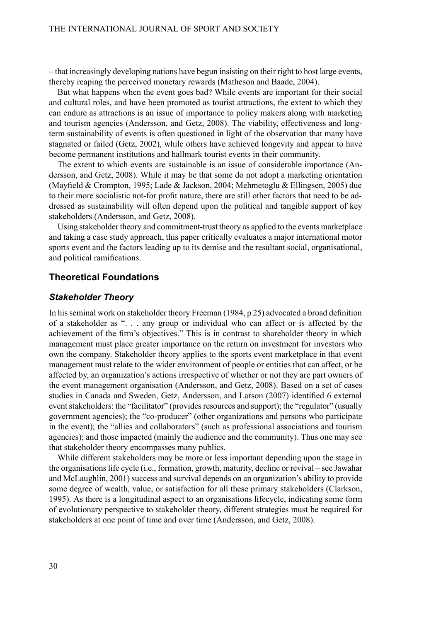– that increasingly developing nations have begun insisting on their right to host large events, thereby reaping the perceived monetary rewards (Matheson and Baade, 2004).

But what happens when the event goes bad? While events are important for their social and cultural roles, and have been promoted as tourist attractions, the extent to which they can endure as attractions is an issue of importance to policy makers along with marketing and tourism agencies (Andersson, and Getz, 2008). The viability, effectiveness and longterm sustainability of events is often questioned in light of the observation that many have stagnated or failed (Getz, 2002), while others have achieved longevity and appear to have become permanent institutions and hallmark tourist events in their community.

The extent to which events are sustainable is an issue of considerable importance (Andersson, and Getz, 2008). While it may be that some do not adopt a marketing orientation (Mayfield & Crompton, 1995; Lade & Jackson, 2004; Mehmetoglu & Ellingsen, 2005) due to their more socialistic not-for profit nature, there are still other factors that need to be addressed as sustainability will often depend upon the political and tangible support of key stakeholders (Andersson, and Getz, 2008).

Using stakeholder theory and commitment-trust theory as applied to the events marketplace and taking a case study approach, this paper critically evaluates a major international motor sports event and the factors leading up to its demise and the resultant social, organisational, and political ramifications.

#### **Theoretical Foundations**

#### *Stakeholder Theory*

In his seminal work on stakeholder theory Freeman (1984, p 25) advocated a broad definition of a stakeholder as ". . . any group or individual who can affect or is affected by the achievement of the firm's objectives." This is in contrast to shareholder theory in which management must place greater importance on the return on investment for investors who own the company. Stakeholder theory applies to the sports event marketplace in that event management must relate to the wider environment of people or entities that can affect, or be affected by, an organization's actions irrespective of whether or not they are part owners of the event management organisation (Andersson, and Getz, 2008). Based on a set of cases studies in Canada and Sweden, Getz, Andersson, and Larson (2007) identified 6 external event stakeholders: the "facilitator" (provides resources and support); the "regulator" (usually government agencies); the "co-producer" (other organizations and persons who participate in the event); the "allies and collaborators" (such as professional associations and tourism agencies); and those impacted (mainly the audience and the community). Thus one may see that stakeholder theory encompasses many publics.

While different stakeholders may be more or less important depending upon the stage in the organisationslife cycle (i.e., formation, growth, maturity, decline or revival – see Jawahar and McLaughlin, 2001) success and survival depends on an organization's ability to provide some degree of wealth, value, or satisfaction for all these primary stakeholders (Clarkson, 1995). As there is a longitudinal aspect to an organisations lifecycle, indicating some form of evolutionary perspective to stakeholder theory, different strategies must be required for stakeholders at one point of time and over time (Andersson, and Getz, 2008).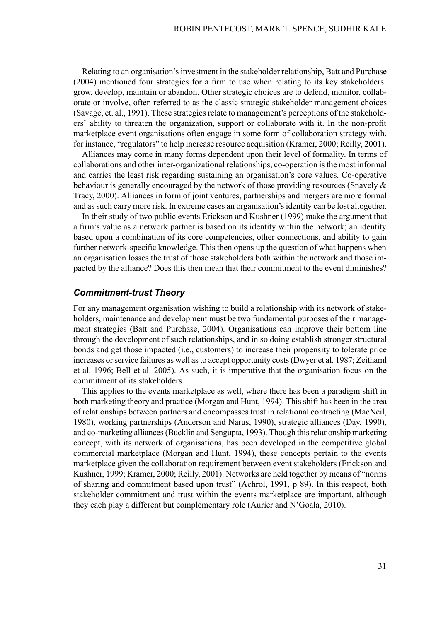Relating to an organisation's investment in the stakeholder relationship, Batt and Purchase (2004) mentioned four strategies for a firm to use when relating to its key stakeholders: grow, develop, maintain or abandon. Other strategic choices are to defend, monitor, collaborate or involve, often referred to as the classic strategic stakeholder management choices (Savage, et. al., 1991). These strategies relate to management's perceptions of the stakeholders' ability to threaten the organization, support or collaborate with it. In the non-profit marketplace event organisations often engage in some form of collaboration strategy with, for instance, "regulators" to help increase resource acquisition (Kramer, 2000; Reilly, 2001).

Alliances may come in many forms dependent upon their level of formality. In terms of collaborations and other inter-organizational relationships, co-operation is the most informal and carries the least risk regarding sustaining an organisation's core values. Co-operative behaviour is generally encouraged by the network of those providing resources (Snavely  $\&$ Tracy, 2000). Alliances in form of joint ventures, partnerships and mergers are more formal and assuch carry more risk. In extreme cases an organisation'sidentity can be lost altogether.

In their study of two public events Erickson and Kushner (1999) make the argument that a firm's value as a network partner is based on its identity within the network; an identity based upon a combination of its core competencies, other connections, and ability to gain further network-specific knowledge. This then opens up the question of what happens when an organisation losses the trust of those stakeholders both within the network and those impacted by the alliance? Does this then mean that their commitment to the event diminishes?

#### *Commitment-trust Theory*

For any management organisation wishing to build a relationship with its network of stakeholders, maintenance and development must be two fundamental purposes of their management strategies (Batt and Purchase, 2004). Organisations can improve their bottom line through the development of such relationships, and in so doing establish stronger structural bonds and get those impacted (i.e., customers) to increase their propensity to tolerate price increases or service failures as well as to accept opportunity costs (Dwyer et al. 1987; Zeithaml et al. 1996; Bell et al. 2005). As such, it is imperative that the organisation focus on the commitment of its stakeholders.

This applies to the events marketplace as well, where there has been a paradigm shift in both marketing theory and practice (Morgan and Hunt, 1994). This shift has been in the area of relationships between partners and encompasses trust in relational contracting (MacNeil, 1980), working partnerships (Anderson and Narus, 1990), strategic alliances (Day, 1990), and co-marketing alliances (Bucklin and Sengupta, 1993). Though this relationship marketing concept, with its network of organisations, has been developed in the competitive global commercial marketplace (Morgan and Hunt, 1994), these concepts pertain to the events marketplace given the collaboration requirement between event stakeholders (Erickson and Kushner, 1999; Kramer, 2000; Reilly, 2001). Networks are held together by means of "norms of sharing and commitment based upon trust" (Achrol, 1991, p 89). In this respect, both stakeholder commitment and trust within the events marketplace are important, although they each play a different but complementary role (Aurier and N'Goala, 2010).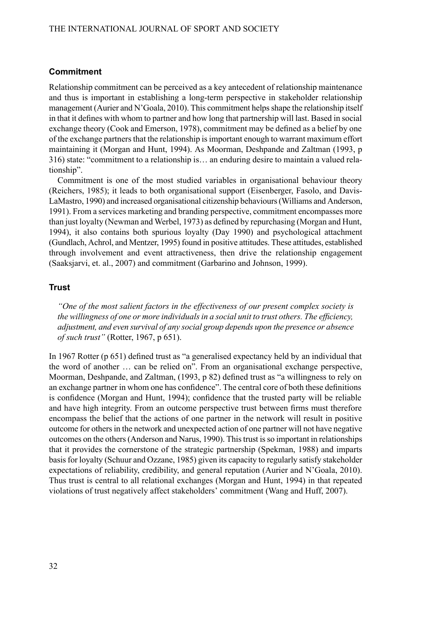#### **Commitment**

Relationship commitment can be perceived as a key antecedent of relationship maintenance and thus is important in establishing a long-term perspective in stakeholder relationship management (Aurier and N'Goala, 2010). This commitment helps shape the relationship itself in that it defines with whom to partner and how long that partnership will last. Based in social exchange theory (Cook and Emerson, 1978), commitment may be defined as a belief by one of the exchange partnersthat the relationship isimportant enough to warrant maximum effort maintaining it (Morgan and Hunt, 1994). As Moorman, Deshpande and Zaltman (1993, p 316) state: "commitment to a relationship is… an enduring desire to maintain a valued relationship".

Commitment is one of the most studied variables in organisational behaviour theory (Reichers, 1985); it leads to both organisational support (Eisenberger, Fasolo, and Davis-LaMastro, 1990) and increased organisational citizenship behaviours(Williams and Anderson, 1991).From a services marketing and branding perspective, commitment encompasses more than just loyalty (Newman and Werbel, 1973) as defined by repurchasing (Morgan and Hunt, 1994), it also contains both spurious loyalty (Day 1990) and psychological attachment (Gundlach, Achrol, and Mentzer, 1995) found in positive attitudes. These attitudes, established through involvement and event attractiveness, then drive the relationship engagement (Saaksjarvi, et. al., 2007) and commitment (Garbarino and Johnson, 1999).

#### **Trust**

*"One of the most salient factors in the effectiveness of our present complex society is the willingness of one or more individualsin a social unit to trust others.The efficiency, adjustment, and even survival of any social group depends upon the presence or absence of such trust"* (Rotter, 1967, p 651).

In 1967 Rotter (p 651) defined trust as "a generalised expectancy held by an individual that the word of another … can be relied on". From an organisational exchange perspective, Moorman, Deshpande, and Zaltman, (1993, p 82) defined trust as "a willingness to rely on an exchange partner in whom one has confidence". The central core of both these definitions is confidence (Morgan and Hunt, 1994); confidence that the trusted party will be reliable and have high integrity. From an outcome perspective trust between firms must therefore encompass the belief that the actions of one partner in the network will result in positive outcome for othersin the network and unexpected action of one partner will not have negative outcomes on the others(Anderson and Narus, 1990). Thistrust isso important in relationships that it provides the cornerstone of the strategic partnership (Spekman, 1988) and imparts basisfor loyalty (Schuur and Ozzane, 1985) given its capacity to regularly satisfy stakeholder expectations of reliability, credibility, and general reputation (Aurier and N'Goala, 2010). Thus trust is central to all relational exchanges (Morgan and Hunt, 1994) in that repeated violations of trust negatively affect stakeholders' commitment (Wang and Huff, 2007).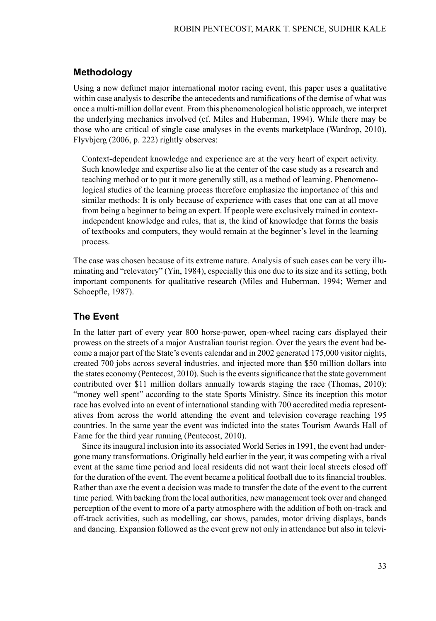#### **Methodology**

Using a now defunct major international motor racing event, this paper uses a qualitative within case analysis to describe the antecedents and ramifications of the demise of what was once a multi-million dollar event.From this phenomenological holistic approach, we interpret the underlying mechanics involved (cf. Miles and Huberman, 1994). While there may be those who are critical of single case analyses in the events marketplace (Wardrop, 2010), Flyvbjerg (2006, p. 222) rightly observes:

Context-dependent knowledge and experience are at the very heart of expert activity. Such knowledge and expertise also lie at the center of the case study as a research and teaching method or to put it more generally still, as a method of learning. Phenomenological studies of the learning process therefore emphasize the importance of this and similar methods: It is only because of experience with cases that one can at all move from being a beginner to being an expert. If people were exclusively trained in contextindependent knowledge and rules, that is, the kind of knowledge that forms the basis of textbooks and computers, they would remain at the beginner's level in the learning process.

The case was chosen because of its extreme nature. Analysis of such cases can be very illuminating and "relevatory" (Yin, 1984), especially this one due to its size and its setting, both important components for qualitative research (Miles and Huberman, 1994; Werner and Schoepfle, 1987).

## **The Event**

In the latter part of every year 800 horse-power, open-wheel racing cars displayed their prowess on the streets of a major Australian tourist region. Over the years the event had become a major part of the State's events calendar and in 2002 generated 175,000 visitor nights, created 700 jobs across several industries, and injected more than \$50 million dollars into the states economy (Pentecost, 2010). Such is the events significance that the state government contributed over \$11 million dollars annually towards staging the race (Thomas, 2010): "money well spent" according to the state Sports Ministry. Since its inception this motor race has evolved into an event of international standing with 700 accredited media representatives from across the world attending the event and television coverage reaching 195 countries. In the same year the event was indicted into the states Tourism Awards Hall of Fame for the third year running (Pentecost, 2010).

Since its inaugural inclusion into its associated World Series in 1991, the event had undergone many transformations. Originally held earlier in the year, it was competing with a rival event at the same time period and local residents did not want their local streets closed off for the duration of the event. The event became a political football due to itsfinancial troubles. Rather than axe the event a decision was made to transfer the date of the event to the current time period. With backing from the local authorities, new management took over and changed perception of the event to more of a party atmosphere with the addition of both on-track and off-track activities, such as modelling, car shows, parades, motor driving displays, bands and dancing. Expansion followed as the event grew not only in attendance but also in televi-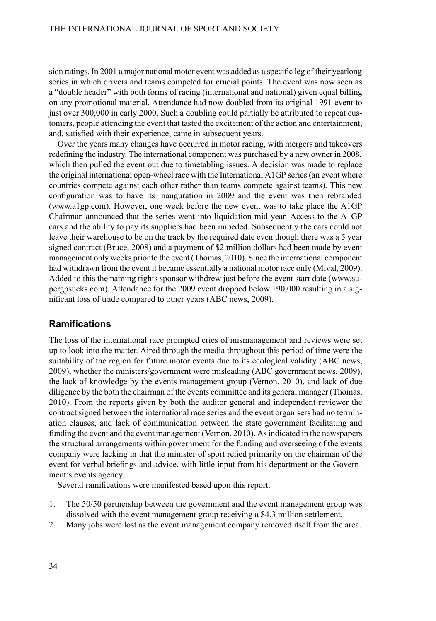sion ratings. In 2001 a major national motor event was added as a specific leg of their yearlong series in which drivers and teams competed for crucial points. The event was now seen as a "double header" with both forms of racing (international and national) given equal billing on any promotional material. Attendance had now doubled from its original 1991 event to just over 300,000 in early 2000. Such a doubling could partially be attributed to repeat customers, people attending the event that tasted the excitement of the action and entertainment, and, satisfied with their experience, came in subsequent years.

Over the years many changes have occurred in motor racing, with mergers and takeovers redefining the industry. The international component was purchased by a new owner in 2008, which then pulled the event out due to timetabling issues. A decision was made to replace the original international open-wheel race with the International A1GP series (an event where countries compete against each other rather than teams compete against teams). This new configuration was to have its inauguration in 2009 and the event was then rebranded (www.a1gp.com). However, one week before the new event was to take place the A1GP Chairman announced that the series went into liquidation mid-year. Access to the A1GP cars and the ability to pay its suppliers had been impeded. Subsequently the cars could not leave their warehouse to be on the track by the required date even though there was a 5 year signed contract (Bruce, 2008) and a payment of \$2 million dollars had been made by event management only weeks prior to the event (Thomas, 2010). Since the international component had withdrawn from the event it became essentially a national motor race only (Mival, 2009). Added to this the naming rights sponsor withdrew just before the event start date (www.supergpsucks.com). Attendance for the 2009 event dropped below 190,000 resulting in a significant loss of trade compared to other years (ABC news, 2009).

#### **Ramifications**

The loss of the international race prompted cries of mismanagement and reviews were set up to look into the matter. Aired through the media throughout this period of time were the suitability of the region for future motor events due to its ecological validity (ABC news, 2009), whether the ministers/government were misleading (ABC government news, 2009), the lack of knowledge by the events management group (Vernon, 2010), and lack of due diligence by the both the chairman of the events committee and its general manager (Thomas, 2010). From the reports given by both the auditor general and independent reviewer the contract signed between the international race series and the event organisers had no termination clauses, and lack of communication between the state government facilitating and funding the event and the event management (Vernon, 2010). As indicated in the newspapers the structural arrangements within government for the funding and overseeing of the events company were lacking in that the minister of sport relied primarily on the chairman of the event for verbal briefings and advice, with little input from his department or the Government's events agency.

Several ramifications were manifested based upon this report.

- 1. The 50/50 partnership between the government and the event management group was dissolved with the event management group receiving a \$4.3 million settlement.
- 2. Many jobs were lost as the event management company removed itself from the area.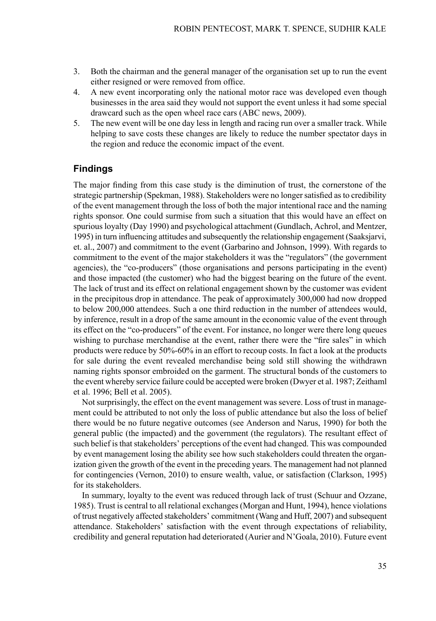- 3. Both the chairman and the general manager of the organisation set up to run the event either resigned or were removed from office.
- 4. A new event incorporating only the national motor race was developed even though businesses in the area said they would not support the event unless it had some special drawcard such as the open wheel race cars (ABC news, 2009).
- 5. The new event will be one day less in length and racing run over a smaller track. While helping to save costs these changes are likely to reduce the number spectator days in the region and reduce the economic impact of the event.

#### **Findings**

The major finding from this case study is the diminution of trust, the cornerstone of the strategic partnership (Spekman, 1988). Stakeholders were no longer satisfied as to credibility of the event management through the loss of both the major intentional race and the naming rights sponsor. One could surmise from such a situation that this would have an effect on spuriousloyalty (Day 1990) and psychological attachment (Gundlach, Achrol, and Mentzer, 1995) in turn influencing attitudes and subsequently the relationship engagement (Saaksjarvi, et. al., 2007) and commitment to the event (Garbarino and Johnson, 1999). With regards to commitment to the event of the major stakeholders it was the "regulators" (the government agencies), the "co-producers" (those organisations and persons participating in the event) and those impacted (the customer) who had the biggest bearing on the future of the event. The lack of trust and its effect on relational engagement shown by the customer was evident in the precipitous drop in attendance. The peak of approximately 300,000 had now dropped to below 200,000 attendees. Such a one third reduction in the number of attendees would, by inference, result in a drop of the same amount in the economic value of the event through its effect on the "co-producers" of the event. For instance, no longer were there long queues wishing to purchase merchandise at the event, rather there were the "fire sales" in which products were reduce by 50%-60% in an effort to recoup costs. In fact a look at the products for sale during the event revealed merchandise being sold still showing the withdrawn naming rights sponsor embroided on the garment. The structural bonds of the customers to the event whereby service failure could be accepted were broken (Dwyer et al. 1987; Zeithaml et al. 1996; Bell et al. 2005).

Not surprisingly, the effect on the event management was severe. Loss of trust in management could be attributed to not only the loss of public attendance but also the loss of belief there would be no future negative outcomes (see Anderson and Narus, 1990) for both the general public (the impacted) and the government (the regulators). The resultant effect of such belief is that stakeholders' perceptions of the event had changed. This was compounded by event management losing the ability see how such stakeholders could threaten the organization given the growth of the event in the preceding years. The management had not planned for contingencies (Vernon, 2010) to ensure wealth, value, or satisfaction (Clarkson, 1995) for its stakeholders.

In summary, loyalty to the event was reduced through lack of trust (Schuur and Ozzane, 1985). Trust is central to all relational exchanges(Morgan and Hunt, 1994), hence violations of trust negatively affected stakeholders' commitment (Wang and Huff, 2007) and subsequent attendance. Stakeholders' satisfaction with the event through expectations of reliability, credibility and general reputation had deteriorated (Aurier and N'Goala, 2010). Future event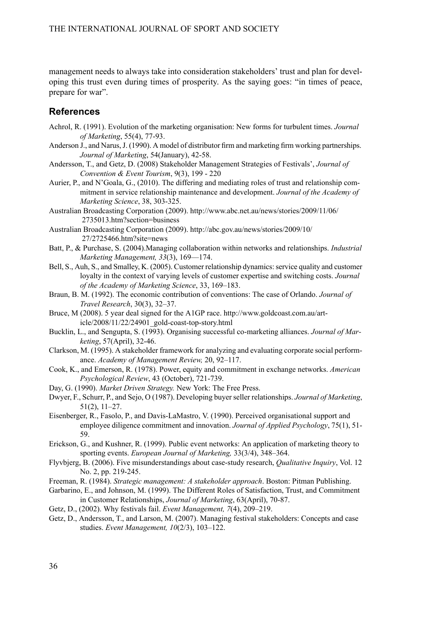management needs to always take into consideration stakeholders' trust and plan for developing this trust even during times of prosperity. As the saying goes: "in times of peace, prepare for war".

#### **References**

- Achrol, R. (1991). Evolution of the marketing organisation: New forms for turbulent times. *Journal of Marketing*, 55(4), 77-93.
- Anderson J., and Narus, J. (1990). A model of distributor firm and marketing firm working partnerships. *Journal of Marketing*, 54(January), 42-58.
- Andersson, T., and Getz, D. (2008) Stakeholder Management Strategies of Festivals', *Journal of Convention & Event Tourism*, 9(3), 199 - 220
- Aurier, P., and N'Goala, G., (2010). The differing and mediating roles of trust and relationship commitment in service relationship maintenance and development. *Journal of the Academy of Marketing Science*, 38, 303-325.
- Australian Broadcasting Corporation (2009). http://www.abc.net.au/news/stories/2009/11/06/ 2735013.htm?section=business
- Australian Broadcasting Corporation (2009). http://abc.gov.au/news/stories/2009/10/ 27/2725466.htm?site=news
- Batt, P., & Purchase, S. (2004).Managing collaboration within networks and relationships. *Industrial Marketing Management, 33*(3), 169—174.
- Bell, S., Auh, S., and Smalley, K. (2005). Customer relationship dynamics: service quality and customer loyalty in the context of varying levels of customer expertise and switching costs. *Journal of the Academy of Marketing Science*, 33, 169–183.
- Braun, B. M. (1992). The economic contribution of conventions: The case of Orlando. *Journal of Travel Research*, 30(3), 32–37.
- Bruce, M (2008). 5 year deal signed for the A1GP race. http://www.goldcoast.com.au/article/2008/11/22/24901\_gold-coast-top-story.html
- Bucklin, L., and Sengupta, S. (1993). Organising successful co-marketing alliances. *Journal of Marketing*, 57(April), 32-46.
- Clarkson, M. (1995). A stakeholder framework for analyzing and evaluating corporate social performance. *Academy of Management Review,* 20, 92–117.
- Cook, K., and Emerson, R. (1978). Power, equity and commitment in exchange networks. *American Psychological Review*, 43 (October), 721-739.
- Day, G. (1990). *Market Driven Strategy.* New York: The Free Press.
- Dwyer, F., Schurr, P., and Sejo, O (1987). Developing buyer seller relationships. *Journal of Marketing*, 51(2), 11–27.
- Eisenberger, R., Fasolo, P., and Davis-LaMastro, V. (1990). Perceived organisational support and employee diligence commitment and innovation. *Journal of Applied Psychology*, 75(1), 51- 59.
- Erickson, G., and Kushner, R. (1999). Public event networks: An application of marketing theory to sporting events. *European Journal of Marketing,* 33(3/4), 348–364.
- Flyvbjerg, B. (2006). Five misunderstandings about case-study research, *Qualitative Inquiry*, Vol. 12 No. 2, pp. 219-245.
- Freeman, R. (1984). *Strategic management: A stakeholder approach*. Boston: Pitman Publishing.
- Garbarino, E., and Johnson, M. (1999). The Different Roles of Satisfaction, Trust, and Commitment in Customer Relationships, *Journal of Marketing*, 63(April), 70-87.
- Getz, D., (2002). Why festivals fail. *Event Management, 7*(4), 209–219.
- Getz, D., Andersson, T., and Larson, M. (2007). Managing festival stakeholders: Concepts and case studies. *Event Management, 10*(2/3), 103–122.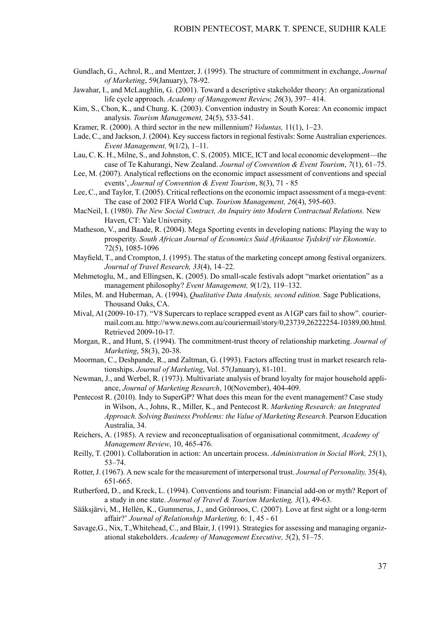- Gundlach, G., Achrol, R., and Mentzer, J. (1995). The structure of commitment in exchange, *Journal of Marketing*, 59(January), 78-92.
- Jawahar, I., and McLaughlin, G. (2001). Toward a descriptive stakeholder theory: An organizational life cycle approach. *Academy of Management Review, 26*(3), 397– 414.
- Kim, S., Chon, K., and Chung. K. (2003). Convention industry in South Korea: An economic impact analysis. *Tourism Management,* 24(5), 533-541.
- Kramer, R. (2000). A third sector in the new millennium? *Voluntas,* 11(1), 1–23.
- Lade, C., and Jackson, J. (2004). Key success factors in regional festivals: Some Australian experiences. *Event Management,* 9(1/2), 1–11.
- Lau, C. K. H., Milne, S., and Johnston, C. S. (2005). MICE, ICT and local economic development—the case of Te Kahurangi, New Zealand. *Journal of Convention & Event Tourism*, *7*(1), 61–75.
- Lee, M. (2007). Analytical reflections on the economic impact assessment of conventions and special events', *Journal of Convention & Event Tourism*, 8(3), 71 - 85
- Lee, C., and Taylor, T. (2005). Critical reflections on the economic impact assessment of a mega-event: The case of 2002 FIFA World Cup. *Tourism Management, 26*(4), 595-603.
- MacNeil, I. (1980). *The New Social Contract, An Inquiry into Modern Contractual Relations.* New Haven, CT: Yale University.
- Matheson, V., and Baade, R. (2004). Mega Sporting events in developing nations: Playing the way to prosperity. *South African Journal of Economics Suid Afrikaanse Tydskrif vir Ekonomie*. 72(5), 1085-1096
- Mayfield, T., and Crompton, J. (1995). The status of the marketing concept among festival organizers. *Journal of Travel Research, 33*(4), 14–22.
- Mehmetoglu, M., and Ellingsen, K. (2005). Do small-scale festivals adopt "market orientation" as a management philosophy? *Event Management, 9*(1/2), 119–132.
- Miles, M. and Huberman, A. (1994), *Qualitative Data Analysis, second edition.* Sage Publications, Thousand Oaks, CA.
- Mival, Al (2009-10-17). "V8 Supercars to replace scrapped event as A1GP cars fail to show". couriermail.com.au. http://www.news.com.au/couriermail/story/0,23739,26222254-10389,00.html. Retrieved 2009-10-17.
- Morgan, R., and Hunt, S. (1994). The commitment-trust theory of relationship marketing. *Journal of Marketing*, 58(3), 20-38.
- Moorman, C., Deshpande, R., and Zaltman, G. (1993). Factors affecting trust in market research relationships. *Journal of Marketing*, Vol. 57(January), 81-101.
- Newman, J., and Werbel, R. (1973). Multivariate analysis of brand loyalty for major household appliance, *Journal of Marketing Research*, 10(November), 404-409.
- Pentecost R. (2010). Indy to SuperGP? What does this mean for the event management? Case study in Wilson, A., Johns, R., Miller, K., and Pentecost R. *Marketing Research: an Integrated Approach. Solving Business Problems: the Value of Marketing Research*. Pearson Education Australia, 34.
- Reichers, A. (1985). A review and reconceptualisation of organisational commitment, *Academy of Management Review*, 10, 465-476.
- Reilly, T. (2001). Collaboration in action: An uncertain process. *Administration in Social Work, 25*(1), 53–74.
- Rotter,J. (1967). A new scale for the measurement of interpersonal trust. *Journal of Personality,* 35(4), 651-665.
- Rutherford, D., and Kreck, L. (1994). Conventions and tourism: Financial add-on or myth? Report of a study in one state. *Journal of Travel & Tourism Marketing, 3*(1), 49-63.
- Sääksjärvi, M., Hellén, K., Gummerus, J., and Grönroos, C. (2007). Love at first sight or a long-term affair?' *Journal of Relationship Marketing,* 6: 1, 45 - 61
- Savage,G., Nix, T.,Whitehead, C., and Blair, J. (1991). Strategies for assessing and managing organizational stakeholders. *Academy of Management Executive, 5*(2), 51–75.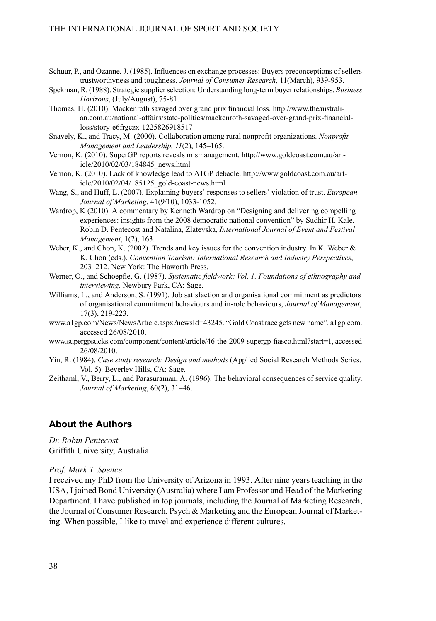- Schuur, P., and Ozanne, J. (1985). Influences on exchange processes: Buyers preconceptions of sellers trustworthyness and toughness. *Journal of Consumer Research,* 11(March), 939-953.
- Spekman, R. (1988). Strategic supplier selection: Understanding long-term buyer relationships. *Business Horizons*, (July/August), 75-81.
- Thomas, H. (2010). Mackenroth savaged over grand prix financial loss. http://www.theaustralian.com.au/national-affairs/state-politics/mackenroth-savaged-over-grand-prix-financialloss/story-e6frgczx-1225826918517
- Snavely, K., and Tracy, M. (2000). Collaboration among rural nonprofit organizations. *Nonprofit Management and Leadership, 11*(2), 145–165.
- Vernon, K. (2010). SuperGP reports reveals mismanagement. http://www.goldcoast.com.au/article/2010/02/03/184845\_news.html
- Vernon, K. (2010). Lack of knowledge lead to A1GP debacle. http://www.goldcoast.com.au/article/2010/02/04/185125\_gold-coast-news.html
- Wang, S., and Huff, L. (2007). Explaining buyers' responses to sellers' violation of trust. *European Journal of Marketing*, 41(9/10), 1033-1052.
- Wardrop, K (2010). A commentary by Kenneth Wardrop on "Designing and delivering compelling experiences: insights from the 2008 democratic national convention" by Sudhir H. Kale, Robin D. Pentecost and Natalina, Zlatevska, *International Journal of Event and Festival Management*, 1(2), 163.
- Weber, K., and Chon, K. (2002). Trends and key issues for the convention industry. In K. Weber & K. Chon (eds.). *Convention Tourism: International Research and Industry Perspectives*, 203–212. New York: The Haworth Press.
- Werner, O., and Schoepfle, G. (1987). *Systematic fieldwork: Vol. 1. Foundations of ethnography and interviewing*. Newbury Park, CA: Sage.
- Williams, L., and Anderson, S. (1991). Job satisfaction and organisational commitment as predictors of organisational commitment behaviours and in-role behaviours, *Journal of Management*, 17(3), 219-223.
- www.a1gp.com/News/NewsArticle.aspx?newsId=43245. "Gold Coast race gets new name". a1gp.com. accessed 26/08/2010.
- www.supergpsucks.com/component/content/article/46-the-2009-supergp-fiasco.html?start=1, accessed 26/08/2010.
- Yin, R. (1984). *Case study research: Design and methods* (Applied Social Research Methods Series, Vol. 5). Beverley Hills, CA: Sage.
- Zeithaml, V., Berry, L., and Parasuraman, A. (1996). The behavioral consequences of service quality. *Journal of Marketing*, 60(2), 31–46.

### **About the Authors**

*Dr. Robin Pentecost* Griffith University, Australia

#### *Prof. Mark T. Spence*

I received my PhD from the University of Arizona in 1993. After nine years teaching in the USA, I joined Bond University (Australia) where I am Professor and Head of the Marketing Department. I have published in top journals, including the Journal of Marketing Research, the Journal of Consumer Research, Psych & Marketing and the European Journal of Marketing. When possible, I like to travel and experience different cultures.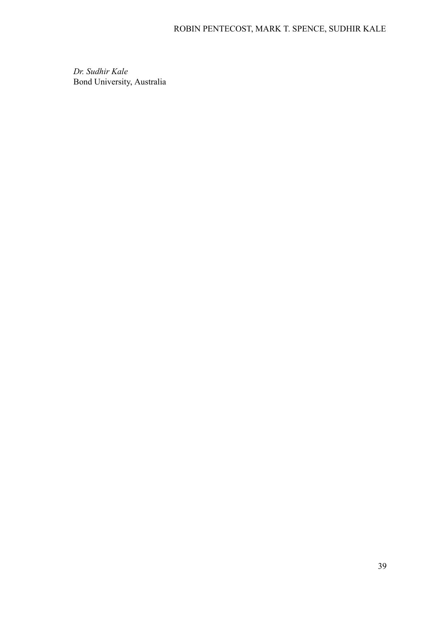*Dr. Sudhir Kale* Bond University, Australia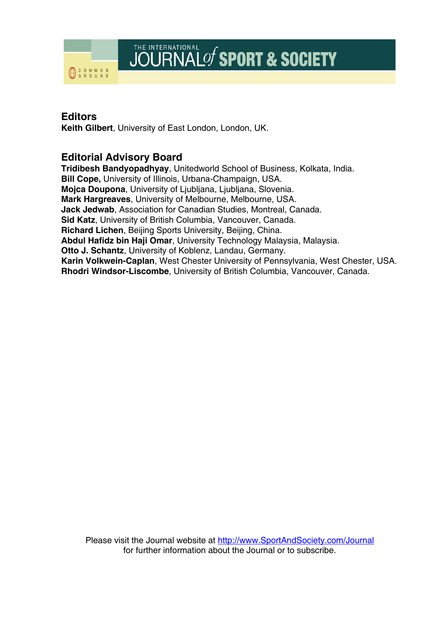

## **Editors**

**Keith Gilbert**, University of East London, London, UK.

## **Editorial Advisory Board**

**Tridibesh Bandyopadhyay**, Unitedworld School of Business, Kolkata, India. **Bill Cope,** University of Illinois, Urbana-Champaign, USA. **Mojca Doupona**, University of Ljubljana, Ljubljana, Slovenia. **Mark Hargreaves**, University of Melbourne, Melbourne, USA. **Jack Jedwab**, Association for Canadian Studies, Montreal, Canada. **Sid Katz**, University of British Columbia, Vancouver, Canada. **Richard Lichen**, Beijing Sports University, Beijing, China. **Abdul Hafidz bin Haji Omar**, University Technology Malaysia, Malaysia. **Otto J. Schantz**, University of Koblenz, Landau, Germany. **Karin Volkwein-Caplan**, West Chester University of Pennsylvania, West Chester, USA. **Rhodri Windsor-Liscombe**, University of British Columbia, Vancouver, Canada.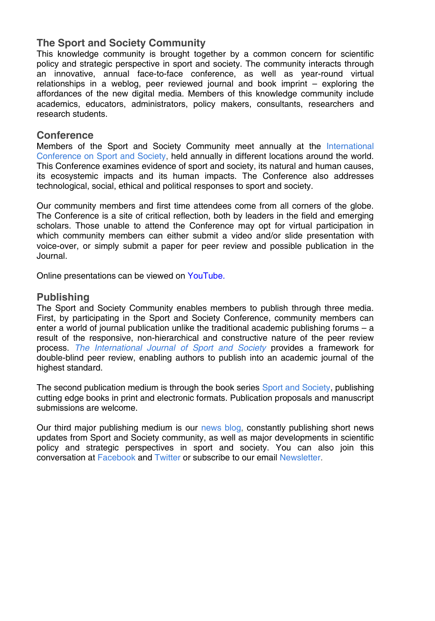## **The Sport and Society Community**

This knowledge community is brought together by a common concern for scientific policy and strategic perspective in sport and society. The community interacts through an innovative, annual face-to-face conference, as well as year-round virtual relationships in a weblog, peer reviewed journal and book imprint – exploring the affordances of the new digital media. Members of this knowledge community include academics, educators, administrators, policy makers, consultants, researchers and research students.

## **Conference**

Members of the Sport and Society Community meet annually at the [International](http://www.sportconference.com/)  [Conference on Sport and Society,](http://www.sportconference.com/) held annually in different locations around the world. This Conference examines evidence of sport and society, its natural and human causes, its ecosystemic impacts and its human impacts. The Conference also addresses technological, social, ethical and political responses to sport and society.

Our community members and first time attendees come from all corners of the globe. The Conference is a site of critical reflection, both by leaders in the field and emerging scholars. Those unable to attend the Conference may opt for virtual participation in which community members can either submit a video and/or slide presentation with voice-over, or simply submit a paper for peer review and possible publication in the Journal.

Online presentations can be viewed on [YouTube.](http://sportandsociety.com/wp-content/plugins/youtube-uploader/action.php?action=list)

## **Publishing**

The Sport and Society Community enables members to publish through three media. First, by participating in the Sport and Society Conference, community members can enter a world of journal publication unlike the traditional academic publishing forums – a result of the responsive, non-hierarchical and constructive nature of the peer review process. *[The International Journal of Sport and Society](http://sportandsociety.com/journal/)* provides a framework for double-blind peer review, enabling authors to publish into an academic journal of the highest standard.

The second publication medium is through the book series [Sport and Society,](http://sportandsociety.com/books/) publishing cutting edge books in print and electronic formats. Publication proposals and manuscript submissions are welcome.

Our third major publishing medium is our [news blog,](http://sportandsociety.com/) constantly publishing short news updates from Sport and Society community, as well as major developments in scientific policy and strategic perspectives in sport and society. You can also join this conversation at [Facebook](http://www.facebook.com/pages/Sport-Society/103948709649685) and [Twitter](http://twitter.com/sportandsoc) or subscribe to our email [Newsletter.](http://sportandsociety.com/ideas/newsletter/)